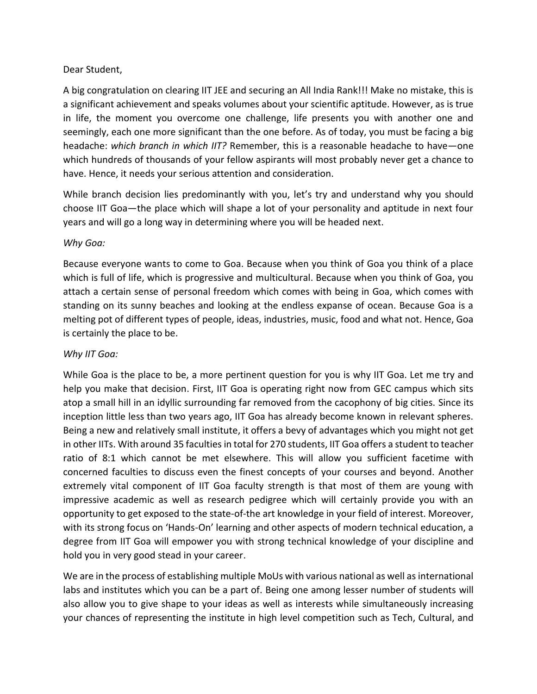## Dear Student,

A big congratulation on clearing IIT JEE and securing an All India Rank!!! Make no mistake, this is a significant achievement and speaks volumes about your scientific aptitude. However, as is true in life, the moment you overcome one challenge, life presents you with another one and seemingly, each one more significant than the one before. As of today, you must be facing a big headache: *which branch in which IIT?* Remember, this is a reasonable headache to have—one which hundreds of thousands of your fellow aspirants will most probably never get a chance to have. Hence, it needs your serious attention and consideration.

While branch decision lies predominantly with you, let's try and understand why you should choose IIT Goa—the place which will shape a lot of your personality and aptitude in next four years and will go a long way in determining where you will be headed next.

## *Why Goa:*

Because everyone wants to come to Goa. Because when you think of Goa you think of a place which is full of life, which is progressive and multicultural. Because when you think of Goa, you attach a certain sense of personal freedom which comes with being in Goa, which comes with standing on its sunny beaches and looking at the endless expanse of ocean. Because Goa is a melting pot of different types of people, ideas, industries, music, food and what not. Hence, Goa is certainly the place to be.

## *Why IIT Goa:*

While Goa is the place to be, a more pertinent question for you is why IIT Goa. Let me try and help you make that decision. First, IIT Goa is operating right now from GEC campus which sits atop a small hill in an idyllic surrounding far removed from the cacophony of big cities. Since its inception little less than two years ago, IIT Goa has already become known in relevant spheres. Being a new and relatively small institute, it offers a bevy of advantages which you might not get in other IITs. With around 35 faculties in total for 270 students, IIT Goa offers a student to teacher ratio of 8:1 which cannot be met elsewhere. This will allow you sufficient facetime with concerned faculties to discuss even the finest concepts of your courses and beyond. Another extremely vital component of IIT Goa faculty strength is that most of them are young with impressive academic as well as research pedigree which will certainly provide you with an opportunity to get exposed to the state-of-the art knowledge in your field of interest. Moreover, with its strong focus on 'Hands-On' learning and other aspects of modern technical education, a degree from IIT Goa will empower you with strong technical knowledge of your discipline and hold you in very good stead in your career.

We are in the process of establishing multiple MoUs with various national as well as international labs and institutes which you can be a part of. Being one among lesser number of students will also allow you to give shape to your ideas as well as interests while simultaneously increasing your chances of representing the institute in high level competition such as Tech, Cultural, and